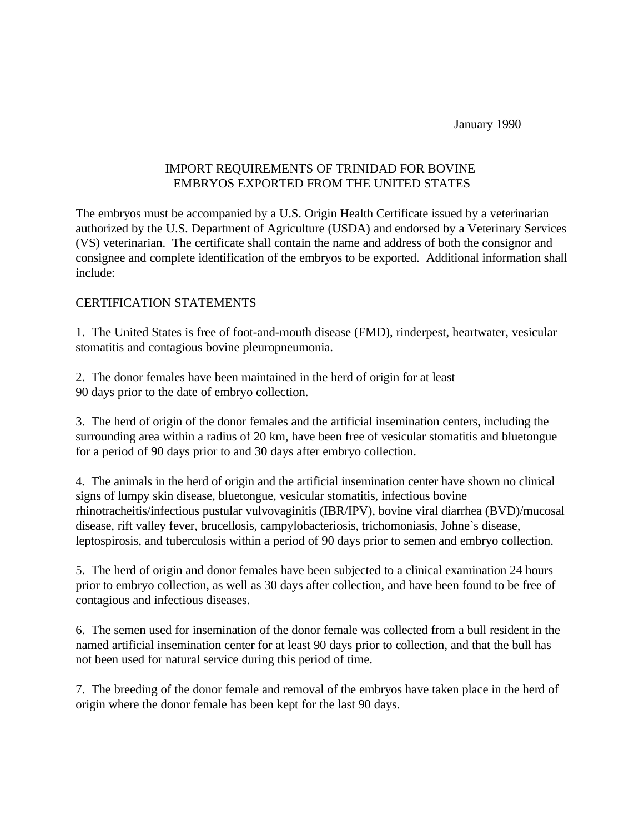January 1990

## IMPORT REQUIREMENTS OF TRINIDAD FOR BOVINE EMBRYOS EXPORTED FROM THE UNITED STATES

The embryos must be accompanied by a U.S. Origin Health Certificate issued by a veterinarian authorized by the U.S. Department of Agriculture (USDA) and endorsed by a Veterinary Services (VS) veterinarian. The certificate shall contain the name and address of both the consignor and consignee and complete identification of the embryos to be exported. Additional information shall include:

## CERTIFICATION STATEMENTS

1. The United States is free of foot-and-mouth disease (FMD), rinderpest, heartwater, vesicular stomatitis and contagious bovine pleuropneumonia.

2. The donor females have been maintained in the herd of origin for at least 90 days prior to the date of embryo collection.

3. The herd of origin of the donor females and the artificial insemination centers, including the surrounding area within a radius of 20 km, have been free of vesicular stomatitis and bluetongue for a period of 90 days prior to and 30 days after embryo collection.

4. The animals in the herd of origin and the artificial insemination center have shown no clinical signs of lumpy skin disease, bluetongue, vesicular stomatitis, infectious bovine rhinotracheitis/infectious pustular vulvovaginitis (IBR/IPV), bovine viral diarrhea (BVD)/mucosal disease, rift valley fever, brucellosis, campylobacteriosis, trichomoniasis, Johne`s disease, leptospirosis, and tuberculosis within a period of 90 days prior to semen and embryo collection.

5. The herd of origin and donor females have been subjected to a clinical examination 24 hours prior to embryo collection, as well as 30 days after collection, and have been found to be free of contagious and infectious diseases.

6. The semen used for insemination of the donor female was collected from a bull resident in the named artificial insemination center for at least 90 days prior to collection, and that the bull has not been used for natural service during this period of time.

7. The breeding of the donor female and removal of the embryos have taken place in the herd of origin where the donor female has been kept for the last 90 days.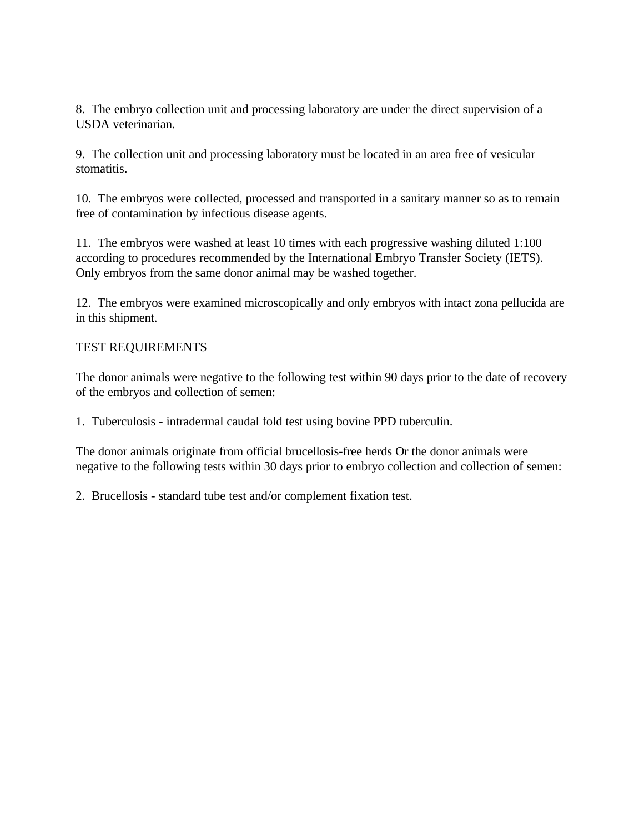8. The embryo collection unit and processing laboratory are under the direct supervision of a USDA veterinarian.

9. The collection unit and processing laboratory must be located in an area free of vesicular stomatitis.

10. The embryos were collected, processed and transported in a sanitary manner so as to remain free of contamination by infectious disease agents.

11. The embryos were washed at least 10 times with each progressive washing diluted 1:100 according to procedures recommended by the International Embryo Transfer Society (IETS). Only embryos from the same donor animal may be washed together.

12. The embryos were examined microscopically and only embryos with intact zona pellucida are in this shipment.

## TEST REQUIREMENTS

The donor animals were negative to the following test within 90 days prior to the date of recovery of the embryos and collection of semen:

1. Tuberculosis - intradermal caudal fold test using bovine PPD tuberculin.

The donor animals originate from official brucellosis-free herds Or the donor animals were negative to the following tests within 30 days prior to embryo collection and collection of semen:

2. Brucellosis - standard tube test and/or complement fixation test.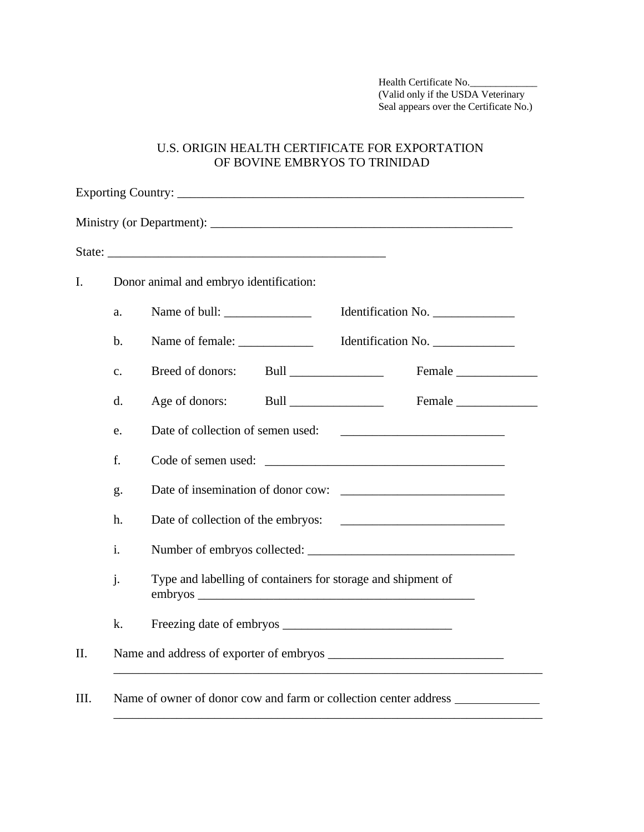Health Certificate No. (Valid only if the USDA Veterinary Seal appears over the Certificate No.)

## U.S. ORIGIN HEALTH CERTIFICATE FOR EXPORTATION OF BOVINE EMBRYOS TO TRINIDAD

|                | Donor animal and embryo identification:                      |                    |
|----------------|--------------------------------------------------------------|--------------------|
| a.             |                                                              | Identification No. |
| $\mathbf{b}$ . | Name of female:                                              | Identification No. |
| $\mathbf{c}$ . | Breed of donors:<br>Bull _______________                     | Female             |
| d.             | Age of donors:                                               | Female             |
| e.             |                                                              |                    |
| f.             |                                                              |                    |
| g.             |                                                              |                    |
| h.             |                                                              |                    |
| $\mathbf{i}$ . |                                                              |                    |
| j.             | Type and labelling of containers for storage and shipment of |                    |
| k.             |                                                              |                    |
|                |                                                              |                    |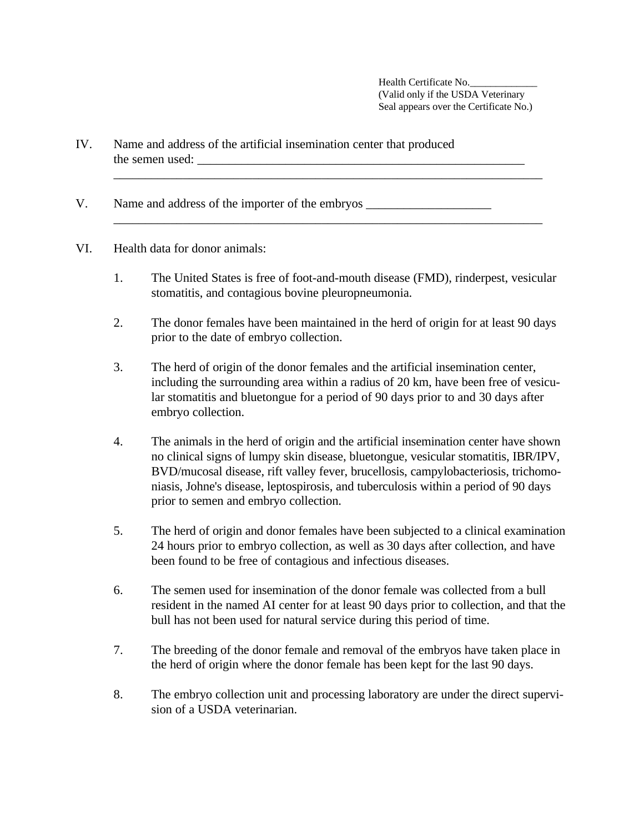Health Certificate No. (Valid only if the USDA Veterinary Seal appears over the Certificate No.)

- IV. Name and address of the artificial insemination center that produced the semen used:  $\frac{1}{2}$  and  $\frac{1}{2}$  and  $\frac{1}{2}$  and  $\frac{1}{2}$  and  $\frac{1}{2}$  and  $\frac{1}{2}$  and  $\frac{1}{2}$  and  $\frac{1}{2}$  and  $\frac{1}{2}$  and  $\frac{1}{2}$  and  $\frac{1}{2}$  and  $\frac{1}{2}$  and  $\frac{1}{2}$  and  $\frac{1}{2}$  and  $\frac{1}{2}$
- V. Name and address of the importer of the embryos \_\_\_\_\_\_\_\_\_\_\_\_\_\_\_\_\_\_\_\_\_\_\_\_\_\_\_\_\_
- VI. Health data for donor animals:
	- 1. The United States is free of foot-and-mouth disease (FMD), rinderpest, vesicular stomatitis, and contagious bovine pleuropneumonia.

\_\_\_\_\_\_\_\_\_\_\_\_\_\_\_\_\_\_\_\_\_\_\_\_\_\_\_\_\_\_\_\_\_\_\_\_\_\_\_\_\_\_\_\_\_\_\_\_\_\_\_\_\_\_\_\_\_\_\_\_\_\_\_\_\_\_\_\_

\_\_\_\_\_\_\_\_\_\_\_\_\_\_\_\_\_\_\_\_\_\_\_\_\_\_\_\_\_\_\_\_\_\_\_\_\_\_\_\_\_\_\_\_\_\_\_\_\_\_\_\_\_\_\_\_\_\_\_\_\_\_\_\_\_\_\_\_

- 2. The donor females have been maintained in the herd of origin for at least 90 days prior to the date of embryo collection.
- 3. The herd of origin of the donor females and the artificial insemination center, including the surrounding area within a radius of 20 km, have been free of vesicular stomatitis and bluetongue for a period of 90 days prior to and 30 days after embryo collection.
- 4. The animals in the herd of origin and the artificial insemination center have shown no clinical signs of lumpy skin disease, bluetongue, vesicular stomatitis, IBR/IPV, BVD/mucosal disease, rift valley fever, brucellosis, campylobacteriosis, trichomoniasis, Johne's disease, leptospirosis, and tuberculosis within a period of 90 days prior to semen and embryo collection.
- 5. The herd of origin and donor females have been subjected to a clinical examination 24 hours prior to embryo collection, as well as 30 days after collection, and have been found to be free of contagious and infectious diseases.
- 6. The semen used for insemination of the donor female was collected from a bull resident in the named AI center for at least 90 days prior to collection, and that the bull has not been used for natural service during this period of time.
- 7. The breeding of the donor female and removal of the embryos have taken place in the herd of origin where the donor female has been kept for the last 90 days.
- 8. The embryo collection unit and processing laboratory are under the direct supervision of a USDA veterinarian.